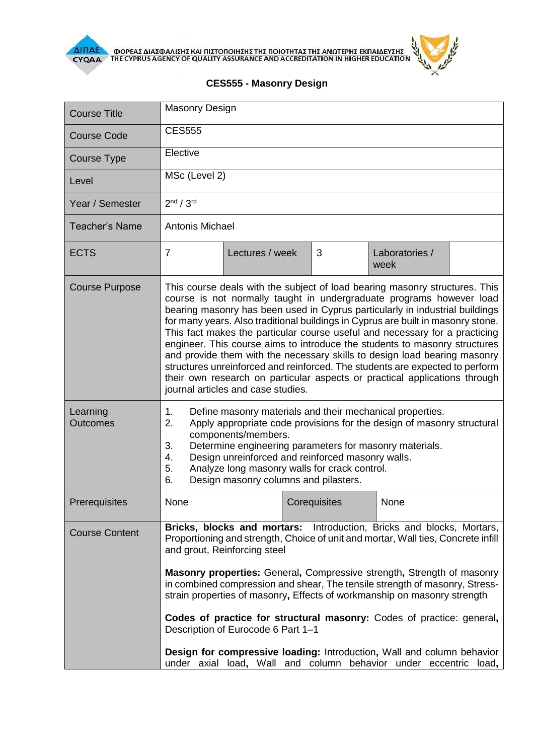

**AIFIAE OOPEAE AIAE DATE KAI HIETOHOIHEHE THE HOIOTHTAE THE ANOTEPHE EKHAIAEYEHE** 



## **CES555 - Masonry Design**

| <b>Course Title</b>         | <b>Masonry Design</b>                                                                                                                                                                                                                                                                                                                                                                                                                                                                                                                                                                                                                                                                                                                                                 |                                                                                                                                                                                                                                                                                                                                                                                                                                                                                                                                                                                                                                                                                                     |              |                        |  |
|-----------------------------|-----------------------------------------------------------------------------------------------------------------------------------------------------------------------------------------------------------------------------------------------------------------------------------------------------------------------------------------------------------------------------------------------------------------------------------------------------------------------------------------------------------------------------------------------------------------------------------------------------------------------------------------------------------------------------------------------------------------------------------------------------------------------|-----------------------------------------------------------------------------------------------------------------------------------------------------------------------------------------------------------------------------------------------------------------------------------------------------------------------------------------------------------------------------------------------------------------------------------------------------------------------------------------------------------------------------------------------------------------------------------------------------------------------------------------------------------------------------------------------------|--------------|------------------------|--|
| <b>Course Code</b>          | <b>CES555</b>                                                                                                                                                                                                                                                                                                                                                                                                                                                                                                                                                                                                                                                                                                                                                         |                                                                                                                                                                                                                                                                                                                                                                                                                                                                                                                                                                                                                                                                                                     |              |                        |  |
| Course Type                 | Elective                                                                                                                                                                                                                                                                                                                                                                                                                                                                                                                                                                                                                                                                                                                                                              |                                                                                                                                                                                                                                                                                                                                                                                                                                                                                                                                                                                                                                                                                                     |              |                        |  |
| Level                       | MSc (Level 2)                                                                                                                                                                                                                                                                                                                                                                                                                                                                                                                                                                                                                                                                                                                                                         |                                                                                                                                                                                                                                                                                                                                                                                                                                                                                                                                                                                                                                                                                                     |              |                        |  |
| Year / Semester             | 2 <sup>nd</sup> / 3 <sup>rd</sup>                                                                                                                                                                                                                                                                                                                                                                                                                                                                                                                                                                                                                                                                                                                                     |                                                                                                                                                                                                                                                                                                                                                                                                                                                                                                                                                                                                                                                                                                     |              |                        |  |
| <b>Teacher's Name</b>       | <b>Antonis Michael</b>                                                                                                                                                                                                                                                                                                                                                                                                                                                                                                                                                                                                                                                                                                                                                |                                                                                                                                                                                                                                                                                                                                                                                                                                                                                                                                                                                                                                                                                                     |              |                        |  |
| <b>ECTS</b>                 | $\overline{7}$                                                                                                                                                                                                                                                                                                                                                                                                                                                                                                                                                                                                                                                                                                                                                        | Lectures / week                                                                                                                                                                                                                                                                                                                                                                                                                                                                                                                                                                                                                                                                                     | 3            | Laboratories /<br>week |  |
| <b>Course Purpose</b>       | This course deals with the subject of load bearing masonry structures. This<br>course is not normally taught in undergraduate programs however load<br>bearing masonry has been used in Cyprus particularly in industrial buildings<br>for many years. Also traditional buildings in Cyprus are built in masonry stone.<br>This fact makes the particular course useful and necessary for a practicing<br>engineer. This course aims to introduce the students to masonry structures<br>and provide them with the necessary skills to design load bearing masonry<br>structures unreinforced and reinforced. The students are expected to perform<br>their own research on particular aspects or practical applications through<br>journal articles and case studies. |                                                                                                                                                                                                                                                                                                                                                                                                                                                                                                                                                                                                                                                                                                     |              |                        |  |
| Learning<br><b>Outcomes</b> | 1.<br>Define masonry materials and their mechanical properties.<br>Apply appropriate code provisions for the design of masonry structural<br>2.<br>components/members.<br>3.<br>Determine engineering parameters for masonry materials.<br>Design unreinforced and reinforced masonry walls.<br>4.<br>5.<br>Analyze long masonry walls for crack control.<br>6.<br>Design masonry columns and pilasters.                                                                                                                                                                                                                                                                                                                                                              |                                                                                                                                                                                                                                                                                                                                                                                                                                                                                                                                                                                                                                                                                                     |              |                        |  |
| Prerequisites               | None                                                                                                                                                                                                                                                                                                                                                                                                                                                                                                                                                                                                                                                                                                                                                                  |                                                                                                                                                                                                                                                                                                                                                                                                                                                                                                                                                                                                                                                                                                     | Corequisites | None                   |  |
| <b>Course Content</b>       |                                                                                                                                                                                                                                                                                                                                                                                                                                                                                                                                                                                                                                                                                                                                                                       | Bricks, blocks and mortars: Introduction, Bricks and blocks, Mortars,<br>Proportioning and strength, Choice of unit and mortar, Wall ties, Concrete infill<br>and grout, Reinforcing steel<br><b>Masonry properties:</b> General, Compressive strength, Strength of masonry<br>in combined compression and shear, The tensile strength of masonry, Stress-<br>strain properties of masonry, Effects of workmanship on masonry strength<br>Codes of practice for structural masonry: Codes of practice: general,<br>Description of Eurocode 6 Part 1-1<br>Design for compressive loading: Introduction, Wall and column behavior<br>under axial load, Wall and column behavior under eccentric load, |              |                        |  |